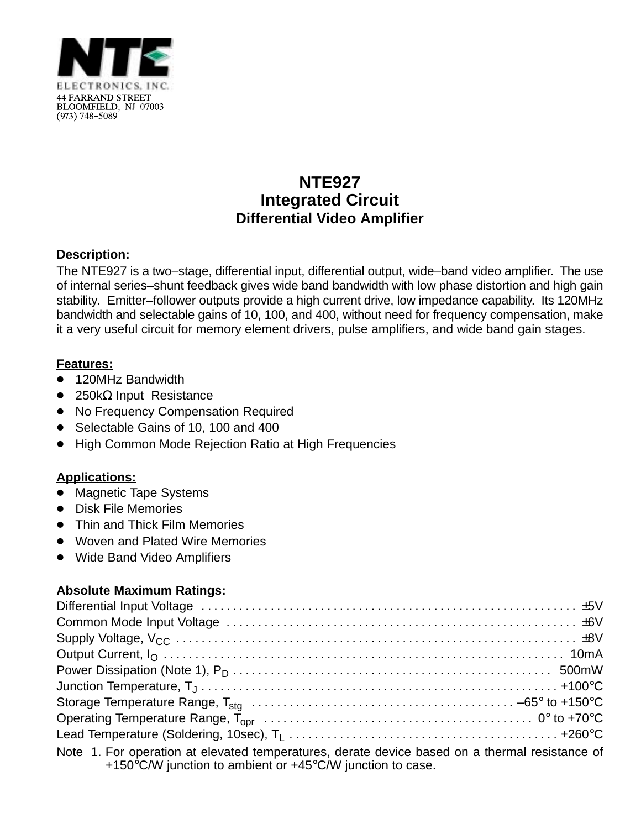

# **NTE927 Integrated Circuit Differential Video Amplifier**

## **Description:**

The NTE927 is a two–stage, differential input, differential output, wide–band video amplifier. The use of internal series–shunt feedback gives wide band bandwidth with low phase distortion and high gain stability. Emitter–follower outputs provide a high current drive, low impedance capability. Its 120MHz bandwidth and selectable gains of 10, 100, and 400, without need for frequency compensation, make it a very useful circuit for memory element drivers, pulse amplifiers, and wide band gain stages.

### **Features:**

- $\overline{\bullet}$ 120MHz Bandwidth
- 250kΩ Input Resistance
- No Frequency Compensation Required
- Selectable Gains of 10, 100 and 400
- $\bullet$ High Common Mode Rejection Ratio at High Frequencies

### **Applications:**

- $\bullet$ Magnetic Tape Systems
- Disk File Memories
- $\bullet$ Thin and Thick Film Memories
- $\bullet$ Woven and Plated Wire Memories
- $\bullet$ Wide Band Video Amplifiers

### **Absolute Maximum Ratings:**

| Note 1. For operation at elevated temperatures, derate device based on a thermal resistance of<br>+150 $\degree$ C/W junction to ambient or +45 $\degree$ C/W junction to case. |  |
|---------------------------------------------------------------------------------------------------------------------------------------------------------------------------------|--|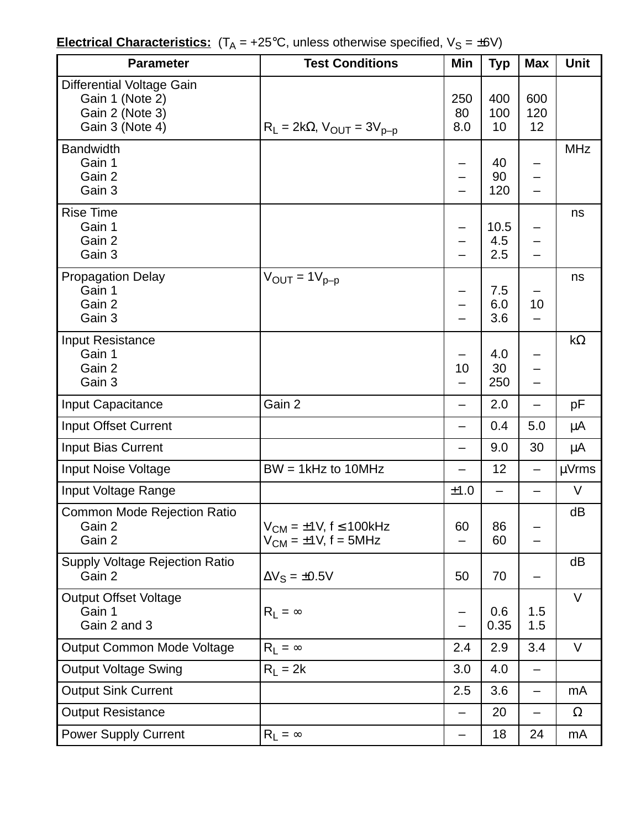| <b>Electrical Characteristics:</b> $(T_A = +25^{\circ}C,$ unless otherwise specified, $V_S = \pm 6V$ ) |  |  |  |
|--------------------------------------------------------------------------------------------------------|--|--|--|
|                                                                                                        |  |  |  |

| <b>Parameter</b>                                                                   | <b>Test Conditions</b>                                               | Min              | <b>Typ</b>         | <b>Max</b>               | <b>Unit</b> |
|------------------------------------------------------------------------------------|----------------------------------------------------------------------|------------------|--------------------|--------------------------|-------------|
| Differential Voltage Gain<br>Gain 1 (Note 2)<br>Gain 2 (Note 3)<br>Gain 3 (Note 4) | $R_L = 2k\Omega$ , $V_{OUT} = 3V_{p-p}$                              | 250<br>80<br>8.0 | 400<br>100<br>10   | 600<br>120<br>12         |             |
| <b>Bandwidth</b><br>Gain 1<br>Gain 2<br>Gain 3                                     |                                                                      |                  | 40<br>90<br>120    |                          | <b>MHz</b>  |
| <b>Rise Time</b><br>Gain 1<br>Gain 2<br>Gain 3                                     |                                                                      |                  | 10.5<br>4.5<br>2.5 |                          | ns          |
| <b>Propagation Delay</b><br>Gain 1<br>Gain 2<br>Gain 3                             | $V_{OUT} = 1V_{p-p}$                                                 | —                | 7.5<br>6.0<br>3.6  | 10                       | ns          |
| Input Resistance<br>Gain 1<br>Gain 2<br>Gain 3                                     |                                                                      | 10               | 4.0<br>30<br>250   |                          | $k\Omega$   |
| Input Capacitance                                                                  | Gain 2                                                               | —                | 2.0                |                          | pF          |
| Input Offset Current                                                               |                                                                      | —                | 0.4                | 5.0                      | μA          |
| Input Bias Current                                                                 |                                                                      | —                | 9.0                | 30                       | μA          |
| <b>Input Noise Voltage</b>                                                         | $BW = 1kHz$ to 10MHz                                                 |                  | 12                 | $\overline{\phantom{0}}$ | $\mu$ Vrms  |
| Input Voltage Range                                                                |                                                                      | ±1.0             |                    |                          | $\vee$      |
| <b>Common Mode Rejection Ratio</b><br>Gain 2<br>Gain 2                             | $V_{CM} = \pm 1V$ , f $\leq 100$ kHz<br>$V_{CM} = \pm 1V$ , f = 5MHz | 60               | 86<br>60           |                          | dB          |
| <b>Supply Voltage Rejection Ratio</b><br>Gain 2                                    | $\Delta V_S = \pm 0.5V$                                              | 50               | 70                 | —                        | dB          |
| <b>Output Offset Voltage</b><br>Gain 1<br>Gain 2 and 3                             | $R_1 = \infty$                                                       |                  | 0.6<br>0.35        | 1.5<br>1.5               | $\vee$      |
| Output Common Mode Voltage                                                         | $R_1 = \infty$                                                       | 2.4              | 2.9                | 3.4                      | V           |
| <b>Output Voltage Swing</b>                                                        | $R_L = 2k$                                                           | 3.0              | 4.0                | —                        |             |
| <b>Output Sink Current</b>                                                         |                                                                      | 2.5              | 3.6                | —                        | mA          |
| <b>Output Resistance</b>                                                           |                                                                      |                  | 20                 |                          | $\Omega$    |
| <b>Power Supply Current</b>                                                        | $R_1 = \infty$                                                       | —                | 18                 | 24                       | mA          |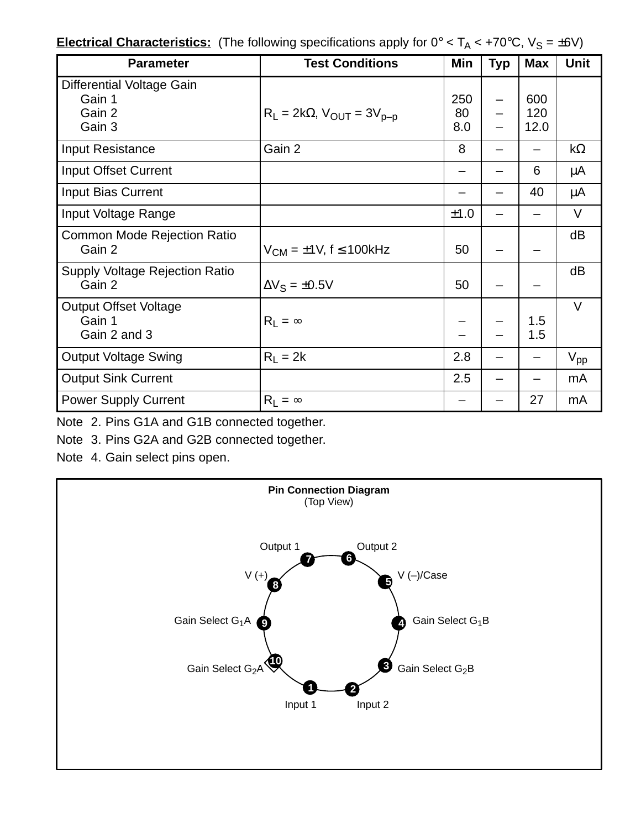| <b>Electrical Characteristics:</b> (The following specifications apply for $0^{\circ} < T_A < +70^{\circ}$ C, $V_S = \pm 6V$ ) |  |  |  |  |  |  |
|--------------------------------------------------------------------------------------------------------------------------------|--|--|--|--|--|--|
|--------------------------------------------------------------------------------------------------------------------------------|--|--|--|--|--|--|

| <b>Parameter</b>                                        | <b>Test Conditions</b>                        | Min              | <b>Typ</b> | <b>Max</b>         | <b>Unit</b>     |
|---------------------------------------------------------|-----------------------------------------------|------------------|------------|--------------------|-----------------|
| Differential Voltage Gain<br>Gain 1<br>Gain 2<br>Gain 3 | $R_l$ = 2k $\Omega$ , $V_{OUT}$ = 3 $V_{p-p}$ | 250<br>80<br>8.0 |            | 600<br>120<br>12.0 |                 |
| <b>Input Resistance</b>                                 | Gain 2                                        | 8                |            |                    | $k\Omega$       |
| Input Offset Current                                    |                                               | —                |            | 6                  | μA              |
| Input Bias Current                                      |                                               |                  |            | 40                 | μA              |
| Input Voltage Range                                     |                                               | ±1.0             |            |                    | V               |
| <b>Common Mode Rejection Ratio</b><br>Gain 2            | $V_{CM} = \pm 1V$ , f $\leq 100$ kHz          | 50               |            |                    | dB              |
| <b>Supply Voltage Rejection Ratio</b><br>Gain 2         | $\Delta V_S = \pm 0.5V$                       | 50               |            |                    | dB              |
| <b>Output Offset Voltage</b><br>Gain 1<br>Gain 2 and 3  | $R_1 = \infty$                                |                  |            | 1.5<br>1.5         | $\vee$          |
| <b>Output Voltage Swing</b>                             | $R_1 = 2k$                                    | 2.8              |            |                    | $V_{\text{pp}}$ |
| <b>Output Sink Current</b>                              |                                               | 2.5              |            |                    | mA              |
| <b>Power Supply Current</b>                             | $R_1 = \infty$                                |                  |            | 27                 | mA              |

Note 2. Pins G1A and G1B connected together.

Note 3. Pins G2A and G2B connected together.

Note 4. Gain select pins open.